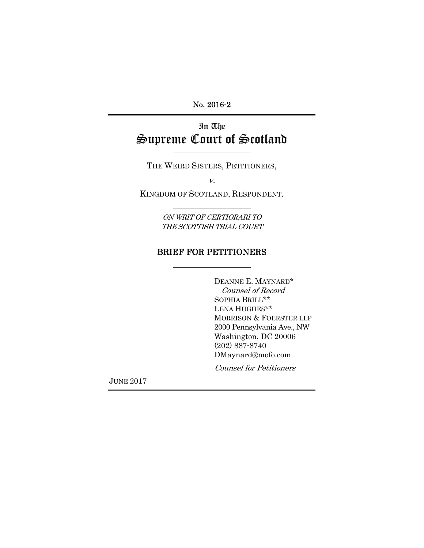No. 2016-2

# In The Supreme Court of Scotland

THE WEIRD SISTERS, PETITIONERS,

v.

KINGDOM OF SCOTLAND, RESPONDENT.

ON WRIT OF CERTIORARI TO THE SCOTTISH TRIAL COURT

# BRIEF FOR PETITIONERS

DEANNE E. MAYNARD\* Counsel of Record SOPHIA BRILL\*\* LENA HUGHES\*\* MORRISON & FOERSTER LLP 2000 Pennsylvania Ave., NW Washington, DC 20006 (202) 887-8740 DMaynard@mofo.com

Counsel for Petitioners

JUNE 2017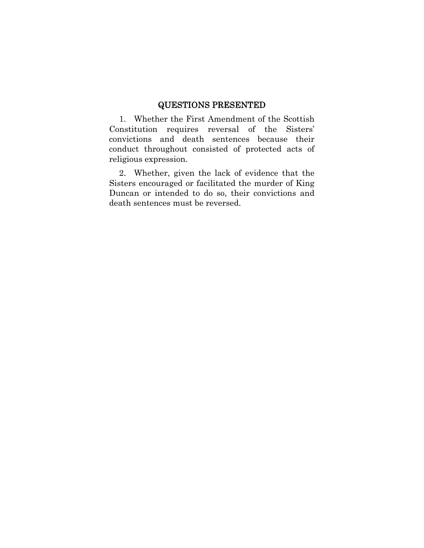#### QUESTIONS PRESENTED

1. Whether the First Amendment of the Scottish Constitution requires reversal of the Sisters' convictions and death sentences because their conduct throughout consisted of protected acts of religious expression.

2. Whether, given the lack of evidence that the Sisters encouraged or facilitated the murder of King Duncan or intended to do so, their convictions and death sentences must be reversed.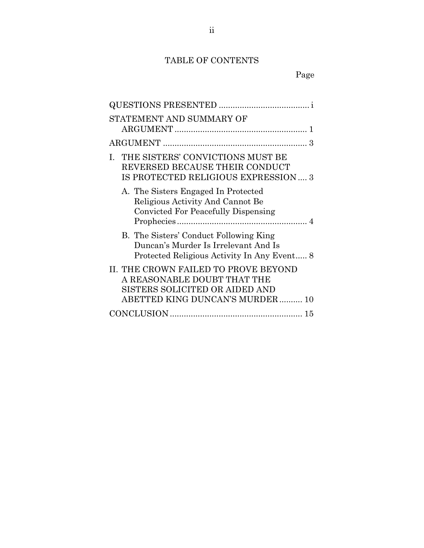# TABLE OF CONTENTS

| STATEMENT AND SUMMARY OF                                                                                                                 |
|------------------------------------------------------------------------------------------------------------------------------------------|
|                                                                                                                                          |
| THE SISTERS' CONVICTIONS MUST BE<br>L<br>REVERSED BECAUSE THEIR CONDUCT<br>IS PROTECTED RELIGIOUS EXPRESSION 3                           |
| A. The Sisters Engaged In Protected<br>Religious Activity And Cannot Be<br>Convicted For Peacefully Dispensing                           |
| B. The Sisters' Conduct Following King<br>Duncan's Murder Is Irrelevant And Is<br>Protected Religious Activity In Any Event 8            |
| II. THE CROWN FAILED TO PROVE BEYOND<br>A REASONABLE DOUBT THAT THE<br>SISTERS SOLICITED OR AIDED AND<br>ABETTED KING DUNCAN'S MURDER 10 |
|                                                                                                                                          |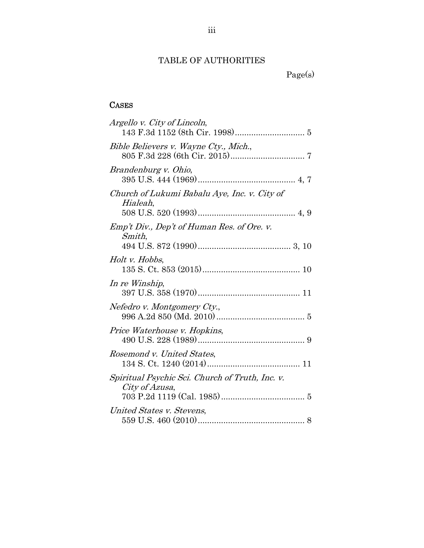### TABLE OF AUTHORITIES

Page(s)

### **CASES**

| Argello v. City of Lincoln,                                       |
|-------------------------------------------------------------------|
| Bible Believers v. Wayne Cty., Mich.,                             |
| Brandenburg v. Ohio,                                              |
| Church of Lukumi Babalu Aye, Inc. v. City of<br>Hialeah,          |
| Emp't Div., Dep't of Human Res. of Ore. v.<br>Smith,              |
| Holt v. Hobbs,                                                    |
| In re Winship,                                                    |
| Nefedro v. Montgomery Cty.,                                       |
| Price Waterhouse v. Hopkins,                                      |
| Rosemond v. United States,                                        |
| Spiritual Psychic Sci. Church of Truth, Inc. v.<br>City of Azusa, |
| United States v. Stevens,                                         |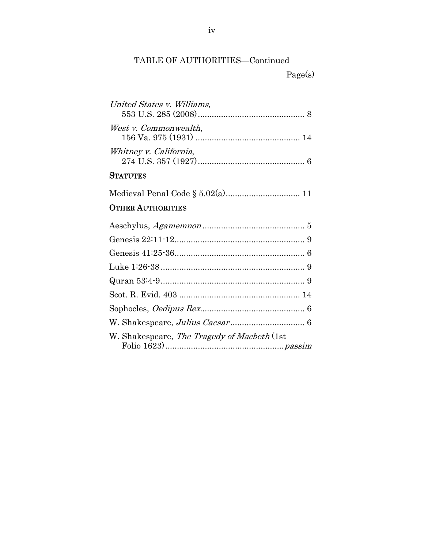# TABLE OF AUTHORITIES—Continued

Page(s)

| United States v. Williams, |
|----------------------------|
| West v. Commonwealth,      |
| Whitney v. California,     |

### **STATUTES**

Medieval Penal Code § 5.02(a) ................................ 11

# OTHER AUTHORITIES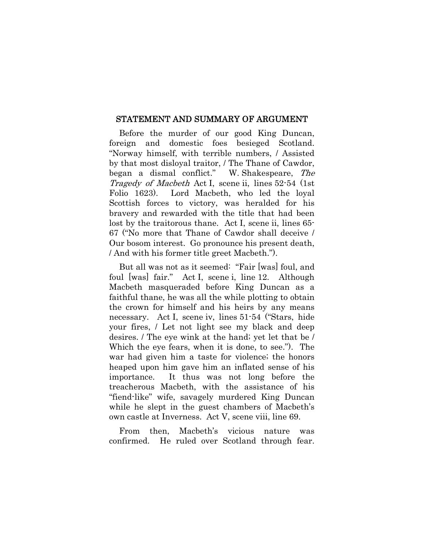#### STATEMENT AND SUMMARY OF ARGUMENT

Before the murder of our good King Duncan, foreign and domestic foes besieged Scotland. "Norway himself, with terrible numbers, / Assisted by that most disloyal traitor, / The Thane of Cawdor, began a dismal conflict." W. Shakespeare, The Tragedy of Macbeth Act I, scene ii, lines 52-54 (1st Folio 1623). Lord Macbeth, who led the loyal Scottish forces to victory, was heralded for his bravery and rewarded with the title that had been lost by the traitorous thane. Act I, scene ii, lines 65- 67 ("No more that Thane of Cawdor shall deceive / Our bosom interest. Go pronounce his present death, / And with his former title greet Macbeth.").

But all was not as it seemed: "Fair [was] foul, and foul [was] fair." Act I, scene i, line 12. Although Macbeth masqueraded before King Duncan as a faithful thane, he was all the while plotting to obtain the crown for himself and his heirs by any means necessary. Act I, scene iv, lines 51-54 ("Stars, hide your fires, / Let not light see my black and deep desires. / The eye wink at the hand; yet let that be / Which the eye fears, when it is done, to see."). The war had given him a taste for violence; the honors heaped upon him gave him an inflated sense of his importance. It thus was not long before the treacherous Macbeth, with the assistance of his "fiend-like" wife, savagely murdered King Duncan while he slept in the guest chambers of Macbeth's own castle at Inverness. Act V, scene viii, line 69.

From then, Macbeth's vicious nature was confirmed. He ruled over Scotland through fear.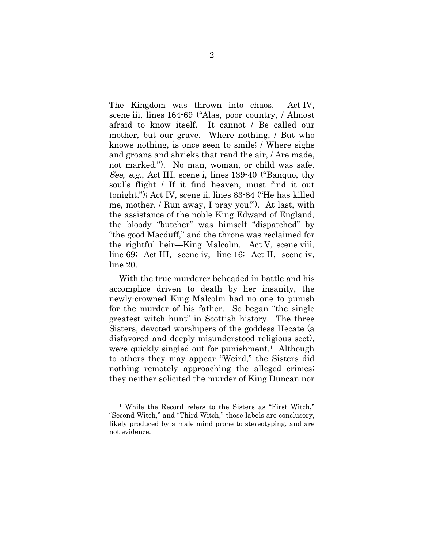The Kingdom was thrown into chaos. Act IV, scene iii, lines 164-69 ("Alas, poor country, / Almost afraid to know itself. It cannot / Be called our mother, but our grave. Where nothing, / But who knows nothing, is once seen to smile; / Where sighs and groans and shrieks that rend the air, / Are made, not marked."). No man, woman, or child was safe. See, e.g., Act III, scene i, lines 139-40 ("Banquo, thy soul's flight / If it find heaven, must find it out tonight."); Act IV, scene ii, lines 83-84 ("He has killed me, mother. / Run away, I pray you!"). At last, with the assistance of the noble King Edward of England, the bloody "butcher" was himself "dispatched" by "the good Macduff," and the throne was reclaimed for the rightful heir—King Malcolm. Act V, scene viii, line 69; Act III, scene iv, line 16; Act II, scene iv, line 20.

With the true murderer beheaded in battle and his accomplice driven to death by her insanity, the newly-crowned King Malcolm had no one to punish for the murder of his father. So began "the single greatest witch hunt" in Scottish history. The three Sisters, devoted worshipers of the goddess Hecate (a disfavored and deeply misunderstood religious sect), were quickly singled out for punishment.<sup>1</sup> Although to others they may appear "Weird," the Sisters did nothing remotely approaching the alleged crimes; they neither solicited the murder of King Duncan nor

l

<sup>1</sup> While the Record refers to the Sisters as "First Witch," "Second Witch," and "Third Witch," those labels are conclusory, likely produced by a male mind prone to stereotyping, and are not evidence.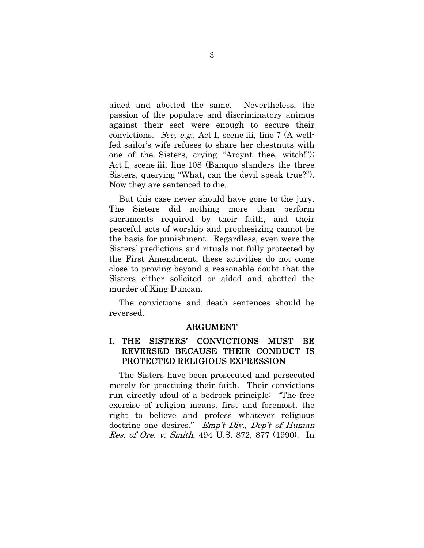aided and abetted the same. Nevertheless, the passion of the populace and discriminatory animus against their sect were enough to secure their convictions. See, e.g., Act I, scene iii, line 7 (A wellfed sailor's wife refuses to share her chestnuts with one of the Sisters, crying "Aroynt thee, witch!"); Act I, scene iii, line 108 (Banquo slanders the three Sisters, querying "What, can the devil speak true?"). Now they are sentenced to die.

But this case never should have gone to the jury. The Sisters did nothing more than perform sacraments required by their faith, and their peaceful acts of worship and prophesizing cannot be the basis for punishment. Regardless, even were the Sisters' predictions and rituals not fully protected by the First Amendment, these activities do not come close to proving beyond a reasonable doubt that the Sisters either solicited or aided and abetted the murder of King Duncan.

The convictions and death sentences should be reversed.

#### ARGUMENT

#### I. THE SISTERS' CONVICTIONS MUST BE REVERSED BECAUSE THEIR CONDUCT IS PROTECTED RELIGIOUS EXPRESSION

The Sisters have been prosecuted and persecuted merely for practicing their faith. Their convictions run directly afoul of a bedrock principle: "The free exercise of religion means, first and foremost, the right to believe and profess whatever religious doctrine one desires." Emp't Div., Dep't of Human Res. of Ore. v. Smith, 494 U.S. 872, 877 (1990). In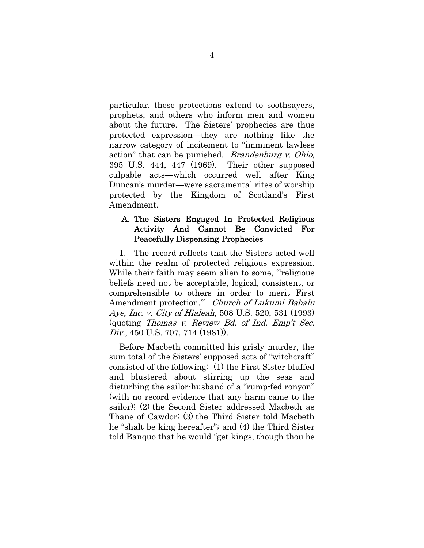particular, these protections extend to soothsayers, prophets, and others who inform men and women about the future. The Sisters' prophecies are thus protected expression—they are nothing like the narrow category of incitement to "imminent lawless action" that can be punished. *Brandenburg v. Ohio*, 395 U.S. 444, 447 (1969). Their other supposed culpable acts—which occurred well after King Duncan's murder—were sacramental rites of worship protected by the Kingdom of Scotland's First Amendment.

#### A. The Sisters Engaged In Protected Religious Activity And Cannot Be Convicted For Peacefully Dispensing Prophecies

1. The record reflects that the Sisters acted well within the realm of protected religious expression. While their faith may seem alien to some, "religious" beliefs need not be acceptable, logical, consistent, or comprehensible to others in order to merit First Amendment protection." Church of Lukumi Babalu Aye, Inc. v. City of Hialeah, 508 U.S. 520, 531 (1993) (quoting Thomas v. Review Bd. of Ind. Emp't Sec. Div., 450 U.S. 707, 714 (1981)).

Before Macbeth committed his grisly murder, the sum total of the Sisters' supposed acts of "witchcraft" consisted of the following: (1) the First Sister bluffed and blustered about stirring up the seas and disturbing the sailor-husband of a "rump-fed ronyon" (with no record evidence that any harm came to the sailor); (2) the Second Sister addressed Macbeth as Thane of Cawdor; (3) the Third Sister told Macbeth he "shalt be king hereafter"; and (4) the Third Sister told Banquo that he would "get kings, though thou be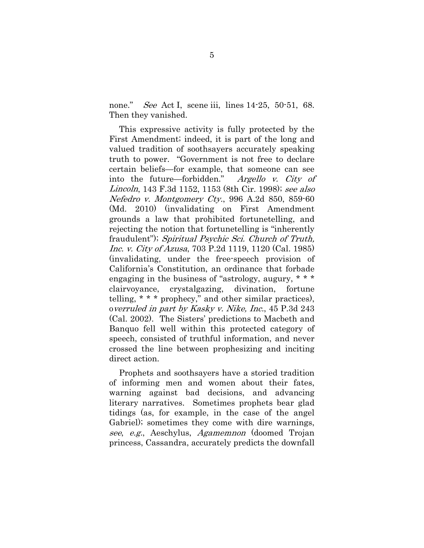none." *See* Act I, scene iii, lines 14-25, 50-51, 68. Then they vanished.

This expressive activity is fully protected by the First Amendment; indeed, it is part of the long and valued tradition of soothsayers accurately speaking truth to power. "Government is not free to declare certain beliefs—for example, that someone can see into the future—forbidden." Argello v. City of Lincoln, 143 F.3d 1152, 1153 (8th Cir. 1998); see also Nefedro v. Montgomery Cty., 996 A.2d 850, 859-60 (Md. 2010) (invalidating on First Amendment grounds a law that prohibited fortunetelling, and rejecting the notion that fortunetelling is "inherently fraudulent"); Spiritual Psychic Sci. Church of Truth, Inc. v. City of Azusa, 703 P.2d 1119, 1120 (Cal. 1985) (invalidating, under the free-speech provision of California's Constitution, an ordinance that forbade engaging in the business of "astrology, augury, \* \* \* clairvoyance, crystalgazing, divination, fortune telling, \* \* \* prophecy," and other similar practices), overruled in part by Kasky v. Nike, Inc., 45 P.3d 243 (Cal. 2002). The Sisters' predictions to Macbeth and Banquo fell well within this protected category of speech, consisted of truthful information, and never crossed the line between prophesizing and inciting direct action.

Prophets and soothsayers have a storied tradition of informing men and women about their fates, warning against bad decisions, and advancing literary narratives. Sometimes prophets bear glad tidings (as, for example, in the case of the angel Gabriel); sometimes they come with dire warnings, see, e.g., Aeschylus, Agamemnon (doomed Trojan princess, Cassandra, accurately predicts the downfall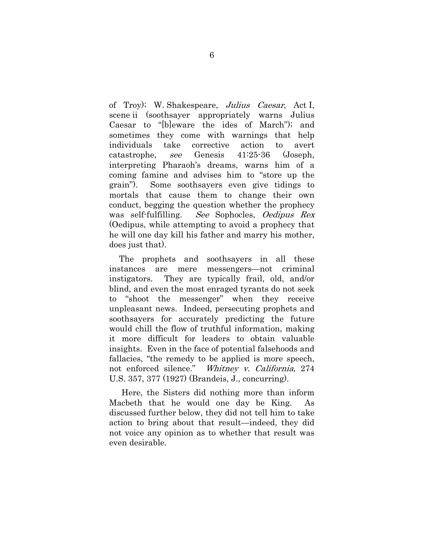of Troy); W. Shakespeare, Julius Caesar, Act I, scene ii (soothsayer appropriately warns Julius Caesar to "[b]eware the ides of March"); and sometimes they come with warnings that help individuals take corrective action to avert catastrophe, see Genesis 41:25-36 (Joseph, interpreting Pharaoh's dreams, warns him of a coming famine and advises him to "store up the grain"). Some soothsayers even give tidings to mortals that cause them to change their own conduct, begging the question whether the prophecy was self-fulfilling. See Sophocles, Oedipus Rex (Oedipus, while attempting to avoid a prophecy that he will one day kill his father and marry his mother, does just that).

The prophets and soothsayers in all these instances are mere messengers—not criminal instigators. They are typically frail, old, and/or blind, and even the most enraged tyrants do not seek to "shoot the messenger" when they receive unpleasant news. Indeed, persecuting prophets and soothsayers for accurately predicting the future would chill the flow of truthful information, making it more difficult for leaders to obtain valuable insights. Even in the face of potential falsehoods and fallacies, "the remedy to be applied is more speech, not enforced silence." Whitney v. California, 274 U.S. 357, 377 (1927) (Brandeis, J., concurring).

Here, the Sisters did nothing more than inform Macbeth that he would one day be King. As discussed further below, they did not tell him to take action to bring about that result—indeed, they did not voice any opinion as to whether that result was even desirable.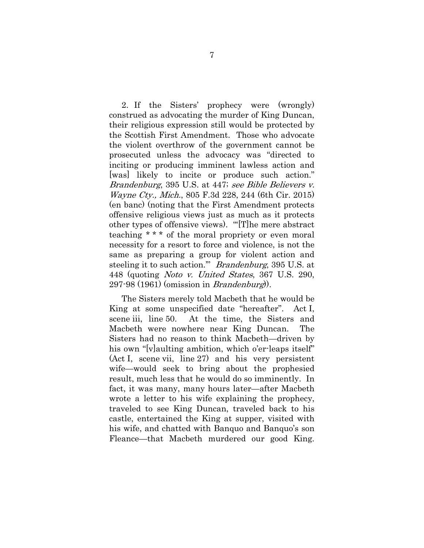2. If the Sisters' prophecy were (wrongly) construed as advocating the murder of King Duncan, their religious expression still would be protected by the Scottish First Amendment. Those who advocate the violent overthrow of the government cannot be prosecuted unless the advocacy was "directed to inciting or producing imminent lawless action and [was] likely to incite or produce such action." Brandenburg, 395 U.S. at 447; see Bible Believers v. Wayne Cty., Mich., 805 F.3d 228, 244 (6th Cir. 2015) (en banc) (noting that the First Amendment protects offensive religious views just as much as it protects other types of offensive views). "'[T]he mere abstract teaching \* \* \* of the moral propriety or even moral necessity for a resort to force and violence, is not the same as preparing a group for violent action and steeling it to such action." *Brandenburg*, 395 U.S. at 448 (quoting Noto v. United States, 367 U.S. 290,  $297-98$  (1961) (omission in *Brandenburg*)).

The Sisters merely told Macbeth that he would be King at some unspecified date "hereafter". Act I, scene iii, line 50. At the time, the Sisters and Macbeth were nowhere near King Duncan. The Sisters had no reason to think Macbeth—driven by his own "[v]aulting ambition, which o'er-leaps itself" (Act I, scene vii, line 27) and his very persistent wife—would seek to bring about the prophesied result, much less that he would do so imminently. In fact, it was many, many hours later—after Macbeth wrote a letter to his wife explaining the prophecy, traveled to see King Duncan, traveled back to his castle, entertained the King at supper, visited with his wife, and chatted with Banquo and Banquo's son Fleance—that Macbeth murdered our good King.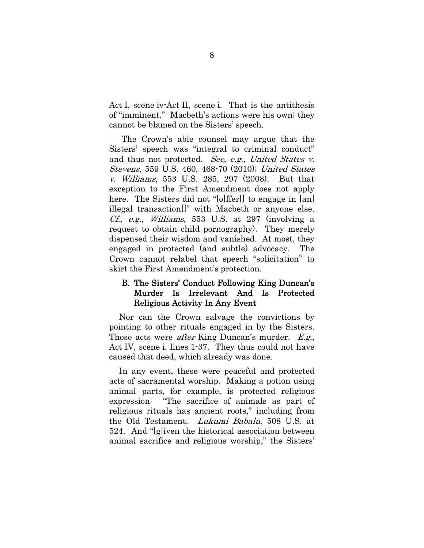Act I, scene iv-Act II, scene i. That is the antithesis of "imminent." Macbeth's actions were his own; they cannot be blamed on the Sisters' speech.

The Crown's able counsel may argue that the Sisters' speech was "integral to criminal conduct" and thus not protected. See, e.g., United States v. Stevens, 559 U.S. 460, 468-70 (2010); United States v. Williams, 553 U.S. 285, 297 (2008). But that exception to the First Amendment does not apply here. The Sisters did not "[o]ffer[] to engage in [an] illegal transaction[]" with Macbeth or anyone else. Cf., e.g., Williams, 553 U.S. at 297 (involving a request to obtain child pornography). They merely dispensed their wisdom and vanished. At most, they engaged in protected (and subtle) advocacy. The Crown cannot relabel that speech "solicitation" to skirt the First Amendment's protection.

### B. The Sisters' Conduct Following King Duncan's Murder Is Irrelevant And Is Protected Religious Activity In Any Event

Nor can the Crown salvage the convictions by pointing to other rituals engaged in by the Sisters. Those acts were *after* King Duncan's murder. E.g., Act IV, scene i, lines 1-37. They thus could not have caused that deed, which already was done.

In any event, these were peaceful and protected acts of sacramental worship. Making a potion using animal parts, for example, is protected religious expression: "The sacrifice of animals as part of religious rituals has ancient roots," including from the Old Testament. Lukumi Babalu, 508 U.S. at 524. And "[g]iven the historical association between animal sacrifice and religious worship," the Sisters'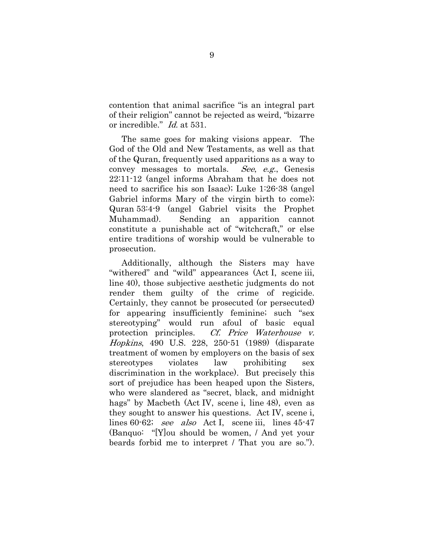contention that animal sacrifice "is an integral part of their religion" cannot be rejected as weird, "bizarre or incredible." Id. at 531.

The same goes for making visions appear. The God of the Old and New Testaments, as well as that of the Quran, frequently used apparitions as a way to convey messages to mortals. See, e.g., Genesis 22:11-12 (angel informs Abraham that he does not need to sacrifice his son Isaac); Luke 1:26-38 (angel Gabriel informs Mary of the virgin birth to come); Quran 53:4-9 (angel Gabriel visits the Prophet Muhammad). Sending an apparition cannot constitute a punishable act of "witchcraft," or else entire traditions of worship would be vulnerable to prosecution.

Additionally, although the Sisters may have "withered" and "wild" appearances (Act I, scene iii, line 40), those subjective aesthetic judgments do not render them guilty of the crime of regicide. Certainly, they cannot be prosecuted (or persecuted) for appearing insufficiently feminine; such "sex stereotyping" would run afoul of basic equal protection principles. Cf. Price Waterhouse v. Hopkins, 490 U.S. 228, 250-51 (1989) (disparate treatment of women by employers on the basis of sex stereotypes violates law prohibiting sex discrimination in the workplace). But precisely this sort of prejudice has been heaped upon the Sisters, who were slandered as "secret, black, and midnight hags" by Macbeth (Act IV, scene i, line 48), even as they sought to answer his questions. Act IV, scene i, lines 60-62; see also Act I, scene iii, lines 45-47 (Banquo: "[Y]ou should be women, / And yet your beards forbid me to interpret / That you are so.").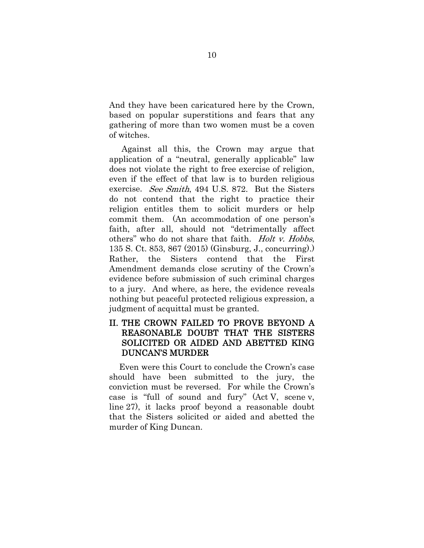And they have been caricatured here by the Crown, based on popular superstitions and fears that any gathering of more than two women must be a coven of witches.

Against all this, the Crown may argue that application of a "neutral, generally applicable" law does not violate the right to free exercise of religion, even if the effect of that law is to burden religious exercise. See Smith, 494 U.S. 872. But the Sisters do not contend that the right to practice their religion entitles them to solicit murders or help commit them. (An accommodation of one person's faith, after all, should not "detrimentally affect others" who do not share that faith. *Holt v. Hobbs*, 135 S. Ct. 853, 867 (2015) (Ginsburg, J., concurring).) Rather, the Sisters contend that the First Amendment demands close scrutiny of the Crown's evidence before submission of such criminal charges to a jury. And where, as here, the evidence reveals nothing but peaceful protected religious expression, a judgment of acquittal must be granted.

### II. THE CROWN FAILED TO PROVE BEYOND A REASONABLE DOUBT THAT THE SISTERS SOLICITED OR AIDED AND ABETTED KING DUNCAN'S MURDER

Even were this Court to conclude the Crown's case should have been submitted to the jury, the conviction must be reversed. For while the Crown's case is "full of sound and fury" (Act V, scene v, line 27), it lacks proof beyond a reasonable doubt that the Sisters solicited or aided and abetted the murder of King Duncan.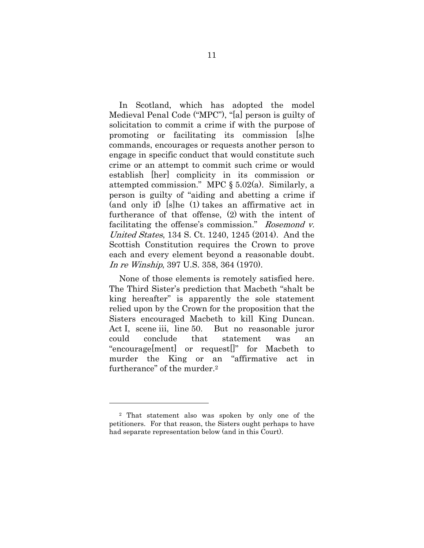In Scotland, which has adopted the model Medieval Penal Code ("MPC"), "[a] person is guilty of solicitation to commit a crime if with the purpose of promoting or facilitating its commission [s]he commands, encourages or requests another person to engage in specific conduct that would constitute such crime or an attempt to commit such crime or would establish [her] complicity in its commission or attempted commission." MPC § 5.02(a). Similarly, a person is guilty of "aiding and abetting a crime if (and only if) [s]he (1) takes an affirmative act in furtherance of that offense, (2) with the intent of facilitating the offense's commission." Rosemond v. United States, 134 S. Ct. 1240, 1245 (2014). And the Scottish Constitution requires the Crown to prove each and every element beyond a reasonable doubt. In re Winship, 397 U.S. 358, 364 (1970).

None of those elements is remotely satisfied here. The Third Sister's prediction that Macbeth "shalt be king hereafter" is apparently the sole statement relied upon by the Crown for the proposition that the Sisters encouraged Macbeth to kill King Duncan. Act I, scene iii, line 50. But no reasonable juror could conclude that statement was an "encourage[ment] or request[]" for Macbeth to murder the King or an "affirmative act in furtherance" of the murder.2

l

<sup>2</sup> That statement also was spoken by only one of the petitioners. For that reason, the Sisters ought perhaps to have had separate representation below (and in this Court).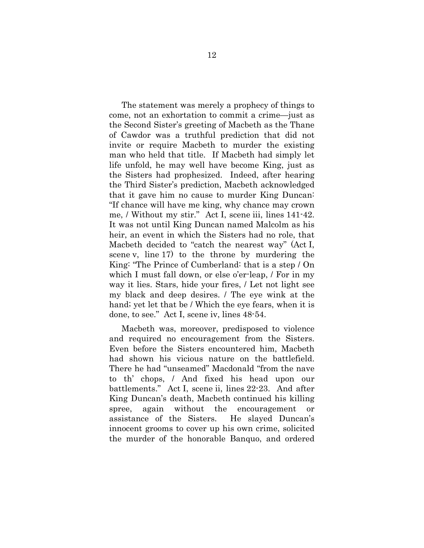The statement was merely a prophecy of things to come, not an exhortation to commit a crime—just as the Second Sister's greeting of Macbeth as the Thane of Cawdor was a truthful prediction that did not invite or require Macbeth to murder the existing man who held that title. If Macbeth had simply let life unfold, he may well have become King, just as the Sisters had prophesized. Indeed, after hearing the Third Sister's prediction, Macbeth acknowledged that it gave him no cause to murder King Duncan: "If chance will have me king, why chance may crown me, / Without my stir." Act I, scene iii, lines 141-42. It was not until King Duncan named Malcolm as his heir, an event in which the Sisters had no role, that Macbeth decided to "catch the nearest way" (Act I, scene v, line 17) to the throne by murdering the King: "The Prince of Cumberland: that is a step / On which I must fall down, or else o'er-leap, / For in my way it lies. Stars, hide your fires, / Let not light see my black and deep desires. / The eye wink at the hand; yet let that be / Which the eye fears, when it is done, to see." Act I, scene iv, lines 48-54.

Macbeth was, moreover, predisposed to violence and required no encouragement from the Sisters. Even before the Sisters encountered him, Macbeth had shown his vicious nature on the battlefield. There he had "unseamed" Macdonald "from the nave to th' chops, / And fixed his head upon our battlements." Act I, scene ii, lines 22-23. And after King Duncan's death, Macbeth continued his killing spree, again without the encouragement or assistance of the Sisters. He slayed Duncan's innocent grooms to cover up his own crime, solicited the murder of the honorable Banquo, and ordered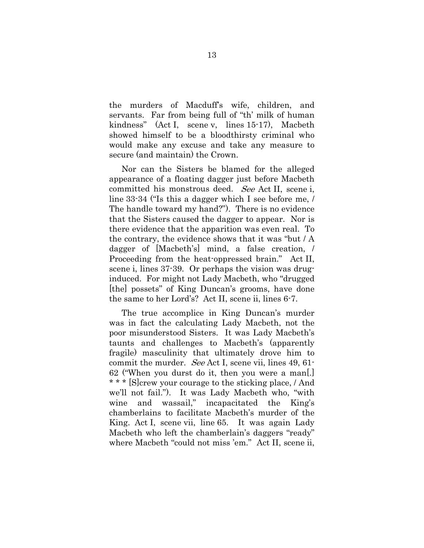the murders of Macduff's wife, children, and servants. Far from being full of "th' milk of human kindness" (Act I, scene v, lines 15-17), Macbeth showed himself to be a bloodthirsty criminal who would make any excuse and take any measure to secure (and maintain) the Crown.

Nor can the Sisters be blamed for the alleged appearance of a floating dagger just before Macbeth committed his monstrous deed. See Act II, scene i, line 33-34 ("Is this a dagger which I see before me, / The handle toward my hand?"). There is no evidence that the Sisters caused the dagger to appear. Nor is there evidence that the apparition was even real. To the contrary, the evidence shows that it was "but / A dagger of [Macbeth's] mind, a false creation, / Proceeding from the heat-oppressed brain." Act II, scene i, lines 37-39. Or perhaps the vision was druginduced. For might not Lady Macbeth, who "drugged [the] possets" of King Duncan's grooms, have done the same to her Lord's? Act II, scene ii, lines 6-7.

The true accomplice in King Duncan's murder was in fact the calculating Lady Macbeth, not the poor misunderstood Sisters. It was Lady Macbeth's taunts and challenges to Macbeth's (apparently fragile) masculinity that ultimately drove him to commit the murder. See Act I, scene vii, lines 49, 61- 62 ("When you durst do it, then you were a man[.] \* \* \* [S]crew your courage to the sticking place, / And we'll not fail."). It was Lady Macbeth who, "with wine and wassail," incapacitated the King's chamberlains to facilitate Macbeth's murder of the King. Act I, scene vii, line 65. It was again Lady Macbeth who left the chamberlain's daggers "ready" where Macbeth "could not miss 'em." Act II, scene ii,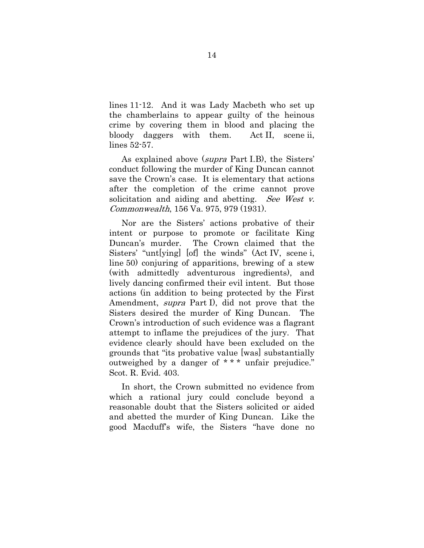lines 11-12. And it was Lady Macbeth who set up the chamberlains to appear guilty of the heinous crime by covering them in blood and placing the bloody daggers with them. Act II, scene ii, lines 52-57.

As explained above (supra Part I.B), the Sisters' conduct following the murder of King Duncan cannot save the Crown's case. It is elementary that actions after the completion of the crime cannot prove solicitation and aiding and abetting. See West v. Commonwealth, 156 Va. 975, 979 (1931).

Nor are the Sisters' actions probative of their intent or purpose to promote or facilitate King Duncan's murder. The Crown claimed that the Sisters' "unt[ying] [of] the winds" (Act IV, scene i, line 50) conjuring of apparitions, brewing of a stew (with admittedly adventurous ingredients), and lively dancing confirmed their evil intent. But those actions (in addition to being protected by the First Amendment, supra Part I), did not prove that the Sisters desired the murder of King Duncan. The Crown's introduction of such evidence was a flagrant attempt to inflame the prejudices of the jury. That evidence clearly should have been excluded on the grounds that "its probative value [was] substantially outweighed by a danger of \* \* \* unfair prejudice." Scot. R. Evid. 403.

In short, the Crown submitted no evidence from which a rational jury could conclude beyond a reasonable doubt that the Sisters solicited or aided and abetted the murder of King Duncan. Like the good Macduff's wife, the Sisters "have done no